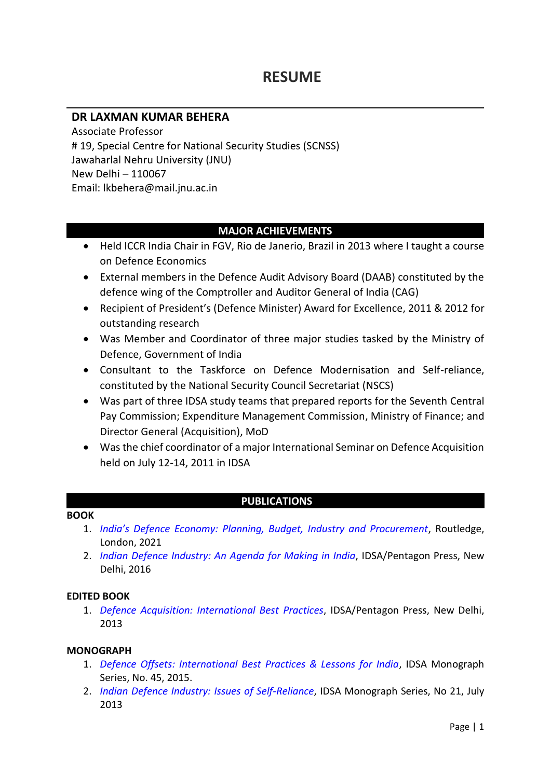# **RESUME**

# **DR LAXMAN KUMAR BEHERA**

Associate Professor # 19, Special Centre for National Security Studies (SCNSS) Jawaharlal Nehru University (JNU) New Delhi – 110067 Email: lkbehera@mail.jnu.ac.in

### **MAJOR ACHIEVEMENTS**

- Held ICCR India Chair in FGV, Rio de Janerio, Brazil in 2013 where I taught a course on Defence Economics
- External members in the Defence Audit Advisory Board (DAAB) constituted by the defence wing of the Comptroller and Auditor General of India (CAG)
- Recipient of President's (Defence Minister) Award for Excellence, 2011 & 2012 for outstanding research
- Was Member and Coordinator of three major studies tasked by the Ministry of Defence, Government of India
- Consultant to the Taskforce on Defence Modernisation and Self-reliance, constituted by the National Security Council Secretariat (NSCS)
- Was part of three IDSA study teams that prepared reports for the Seventh Central Pay Commission; Expenditure Management Commission, Ministry of Finance; and Director General (Acquisition), MoD
- Was the chief coordinator of a major International Seminar on Defence Acquisition held on July 12-14, 2011 in IDSA

### **PUBLICATIONS**

### **BOOK**

- 1. *[India's Defence Economy: Planning, Budget, Industry and Procurement](https://www.flipkart.com/india-s-defence-economy-planning-budgeting-industry-procurement/p/itm2664c3230e4d8)*, Routledge, London, 2021
- 2. *[Indian Defence Industry: An Agenda for Making in India](https://idsa.in/system/files/book/book_indian-defence-industry_0.pdf)*, IDSA/Pentagon Press, New Delhi, 2016

### **EDITED BOOK**

1. *[Defence Acquisition: International Best](https://idsa.in/system/files/book/book_DefAcq.pdf) Practices*, IDSA/Pentagon Press, New Delhi, 2013

### **MONOGRAPH**

- 1. *[Defence Offsets: International Best Practices & Lessons for India](https://idsa.in/system/files/monograph/monograph45.pdf)*, IDSA Monograph Series, No. 45, 2015.
- 2. *[Indian Defence Industry: Issues of Self-Reliance](https://idsa.in/system/files/monograph21.pdf)*, IDSA Monograph Series, No 21, July 2013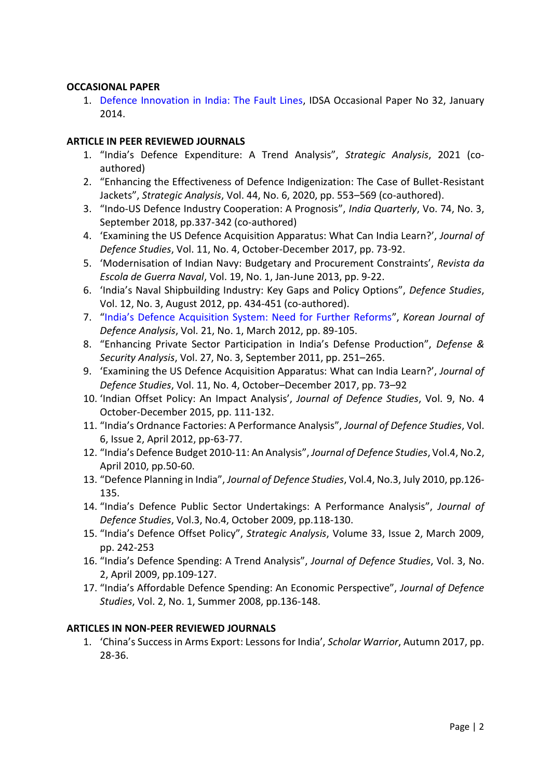### **OCCASIONAL PAPER**

1. [Defence Innovation in India: The Fault Lines,](https://idsa.in/system/files/OP_DefenceInnovationInIndia.pdf) IDSA Occasional Paper No 32, January 2014.

### **ARTICLE IN PEER REVIEWED JOURNALS**

- 1. "India's Defence Expenditure: A Trend Analysis", *Strategic Analysis*, 2021 (coauthored)
- 2. "Enhancing the Effectiveness of Defence Indigenization: The Case of Bullet-Resistant Jackets", *Strategic Analysis*, Vol. 44, No. 6, 2020, pp. 553–569 (co-authored).
- 3. "Indo-US Defence Industry Cooperation: A Prognosis", *India Quarterly*, Vo. 74, No. 3, September 2018, pp.337-342 (co-authored)
- 4. 'Examining the US Defence Acquisition Apparatus: What Can India Learn?', *Journal of Defence Studies*, Vol. 11, No. 4, October-December 2017, pp. 73-92.
- 5. 'Modernisation of Indian Navy: Budgetary and Procurement Constraints', *Revista da Escola de Guerra Naval*, Vol. 19, No. 1, Jan-June 2013, pp. 9-22.
- 6. 'India's Naval Shipbuilding Industry: Key Gaps and Policy Options", *Defence Studies*, Vol. 12, No. 3, August 2012, pp. 434-451 (co-authored).
- 7. ["India's Defence Acquisition System: Need for Further Reforms"](http://www.kida.re.kr/frt/board/frtNormalBoardDetail.do?sidx=707&idx=2298&depth=3&searchCondition=auther&searchKeyword=Laxman%20Kumar%20Behera&pageIndex=1&lang=en), *Korean Journal of Defence Analysis*, Vol. 21, No. 1, March 2012, pp. 89-105.
- 8. "Enhancing Private Sector Participation in India's Defense Production", *Defense & Security Analysis*, Vol. 27, No. 3, September 2011, pp. 251–265.
- 9. 'Examining the US Defence Acquisition Apparatus: What can India Learn?', *Journal of Defence Studies*, Vol. 11, No. 4, October–December 2017, pp. 73–92
- 10. 'Indian Offset Policy: An Impact Analysis', *Journal of Defence Studies*, Vol. 9, No. 4 October-December 2015, pp. 111-132.
- 11. "India's Ordnance Factories: A Performance Analysis", *Journal of Defence Studies*, Vol. 6, Issue 2, April 2012, pp-63-77.
- 12. "India's Defence Budget 2010-11: An Analysis", *Journal of Defence Studies*, Vol.4, No.2, April 2010, pp.50-60.
- 13. "Defence Planning in India", *Journal of Defence Studies*, Vol.4, No.3, July 2010, pp.126- 135.
- 14. "India's Defence Public Sector Undertakings: A Performance Analysis", *Journal of Defence Studies*, Vol.3, No.4, October 2009, pp.118-130.
- 15. "India's Defence Offset Policy", *Strategic Analysis*, Volume 33, Issue 2, March 2009, pp. 242-253
- 16. "India's Defence Spending: A Trend Analysis", *Journal of Defence Studies*, Vol. 3, No. 2, April 2009, pp.109-127.
- 17. "India's Affordable Defence Spending: An Economic Perspective", *Journal of Defence Studies*, Vol. 2, No. 1, Summer 2008, pp.136-148.

### **ARTICLES IN NON-PEER REVIEWED JOURNALS**

1. 'China's Success in Arms Export: Lessons for India', *Scholar Warrior*, Autumn 2017, pp. 28-36.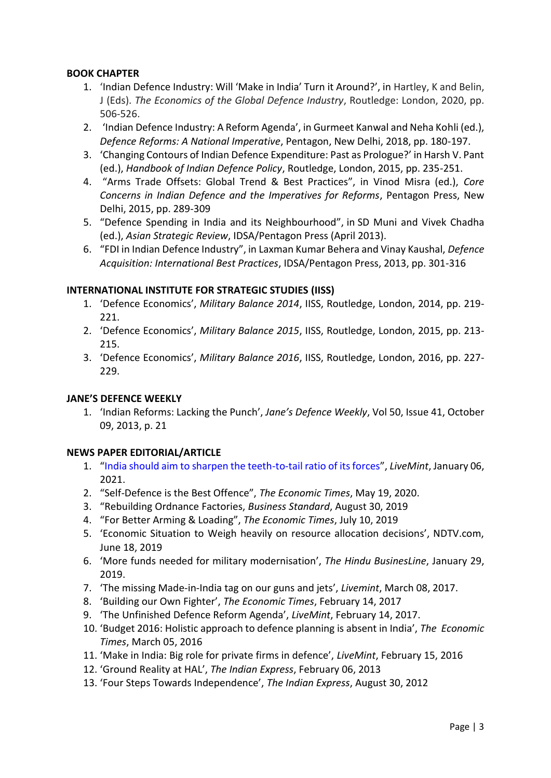### **BOOK CHAPTER**

- 1. 'Indian Defence Industry: Will 'Make in India' Turn it Around?', in Hartley, K and Belin, J (Eds). *The Economics of the Global Defence Industry*, Routledge: London, 2020, pp. 506-526.
- 2. 'Indian Defence Industry: A Reform Agenda', in Gurmeet Kanwal and Neha Kohli (ed.), *Defence Reforms: A National Imperative*, Pentagon, New Delhi, 2018, pp. 180-197.
- 3. 'Changing Contours of Indian Defence Expenditure: Past as Prologue?' in Harsh V. Pant (ed.), *Handbook of Indian Defence Policy*, Routledge, London, 2015, pp. 235-251.
- 4. "Arms Trade Offsets: Global Trend & Best Practices", in Vinod Misra (ed.), *Core Concerns in Indian Defence and the Imperatives for Reforms*, Pentagon Press, New Delhi, 2015, pp. 289-309
- 5. "Defence Spending in India and its Neighbourhood", in SD Muni and Vivek Chadha (ed.), *Asian Strategic Review*, IDSA/Pentagon Press (April 2013).
- 6. "FDI in Indian Defence Industry", in Laxman Kumar Behera and Vinay Kaushal, *Defence Acquisition: International Best Practices*, IDSA/Pentagon Press, 2013, pp. 301-316

### **INTERNATIONAL INSTITUTE FOR STRATEGIC STUDIES (IISS)**

- 1. 'Defence Economics', *Military Balance 2014*, IISS, Routledge, London, 2014, pp. 219- 221.
- 2. 'Defence Economics', *Military Balance 2015*, IISS, Routledge, London, 2015, pp. 213- 215.
- 3. 'Defence Economics', *Military Balance 2016*, IISS, Routledge, London, 2016, pp. 227- 229.

## **JANE'S DEFENCE WEEKLY**

1. 'Indian Reforms: Lacking the Punch', *Jane's Defence Weekly*, Vol 50, Issue 41, October 09, 2013, p. 21

### **NEWS PAPER EDITORIAL/ARTICLE**

- 1. "[India should aim to sharpen the teeth-to-tail ratio of its forces](https://www.livemint.com/budget/expectations/india-should-aim-to-sharpen-the-teeth-to-tail-ratio-of-its-forces-11609865301679.html)", *LiveMint*, January 06, 2021.
- 2. "Self-Defence is the Best Offence", *The Economic Times*, May 19, 2020.
- 3. "Rebuilding Ordnance Factories, *Business Standard*, August 30, 2019
- 4. "For Better Arming & Loading", *The Economic Times*, July 10, 2019
- 5. 'Economic Situation to Weigh heavily on resource allocation decisions', NDTV.com, June 18, 2019
- 6. 'More funds needed for military modernisation', *The Hindu BusinesLine*, January 29, 2019.
- 7. 'The missing Made-in-India tag on our guns and jets', *Livemint*, March 08, 2017.
- 8. 'Building our Own Fighter', *The Economic Times*, February 14, 2017
- 9. 'The Unfinished Defence Reform Agenda', *LiveMint*, February 14, 2017.
- 10. 'Budget 2016: Holistic approach to defence planning is absent in India', *The Economic Times*, March 05, 2016
- 11. 'Make in India: Big role for private firms in defence', *LiveMint*, February 15, 2016
- 12. 'Ground Reality at HAL', *The Indian Express*, February 06, 2013
- 13. 'Four Steps Towards Independence', *The Indian Express*, August 30, 2012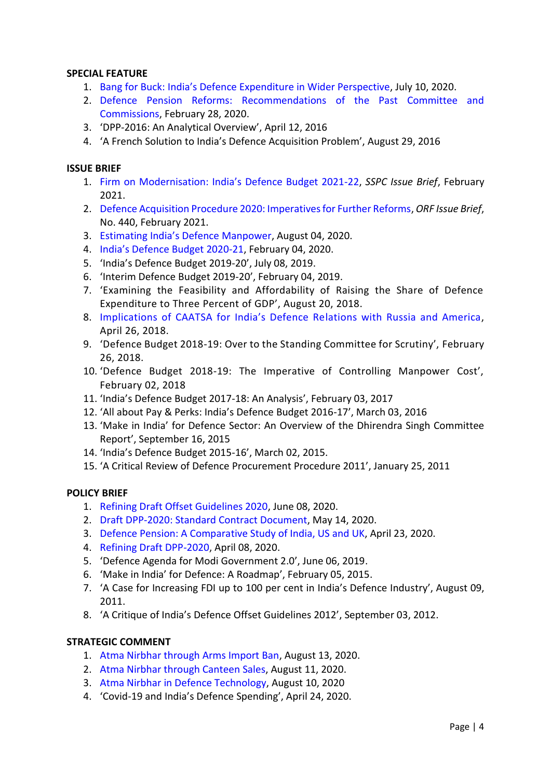### **SPECIAL FEATURE**

- 1. Bang for Buck: [India's Defence Expenditure in Wider Perspective](https://idsa.in/system/files/comments/sf-india-defence-expenditure-100720.pdf), July 10, 2020.
- 2. [Defence Pension Reforms: Recommendations of the Past Committee and](https://idsa.in/system/files/comments/Defence-lbehera-vinay-280220_com_n.pdf)  [Commissions,](https://idsa.in/system/files/comments/Defence-lbehera-vinay-280220_com_n.pdf) February 28, 2020.
- 3. 'DPP-2016: An Analytical Overview', April 12, 2016
- 4. 'A French Solution to India's Defence Acquisition Problem', August 29, 2016

#### **ISSUE BRIEF**

- 1. Firm on [Modernisation: India's Defence Budget 2021](https://sspconline.org/sites/default/files/2021-02/IB_SSPC-DefenceBudget-2021.pdf)-22, *SSPC Issue Brief*, February 2021.
- 2. [Defence Acquisition Procedure 2020: Imperatives for Further Reforms,](https://www.orfonline.org/wp-content/uploads/2021/02/ORF_IssueBrief_440_DAP2020.pdf) *ORF Issue Brief*, No. 440, February 2021.
- 3. [Estimating India's Defence Manpower](https://idsa.in/issuebrief/estimating-indias-defence-manpower-040820), August 04, 2020.
- 4. [India's Defence Budget 2020](https://idsa.in/system/files/issuebrief/def-bgt-2020-21-040220.pdf)-21, February 04, 2020.
- 5. 'India's Defence Budget 2019-20', July 08, 2019.
- 6. 'Interim Defence Budget 2019-20', February 04, 2019.
- 7. 'Examining the Feasibility and Affordability of Raising the Share of Defence Expenditure to Three Percent of GDP', August 20, 2018.
- 8. [Implications of CAATSA for India's Defence Re](https://idsa.in/issuebrief/caatsa-for-india-defence-relations-with-russia-america-lbehera-balachandran-260418)lations with Russia and America, April 26, 2018.
- 9. 'Defence Budget 2018-19: Over to the Standing Committee for Scrutiny', February 26, 2018.
- 10. 'Defence Budget 2018-19: The Imperative of Controlling Manpower Cost', February 02, 2018
- 11. 'India's Defence Budget 2017-18: An Analysis', February 03, 2017
- 12. 'All about Pay & Perks: India's Defence Budget 2016-17', March 03, 2016
- 13. 'Make in India' for Defence Sector: An Overview of the Dhirendra Singh Committee Report', September 16, 2015
- 14. 'India's Defence Budget 2015-16', March 02, 2015.
- 15. 'A Critical Review of Defence Procurement Procedure 2011', January 25, 2011

#### **POLICY BRIEF**

- 1. [Refining Draft Offset Guidelines 2020,](https://idsa.in/system/files/policybrief/pb-defence-offsets-080620.pdf) June 08, 2020.
- 2. [Draft DPP-2020: Standard Contract Document,](https://idsa.in/policybrief/draft-dpp-2020-contract-140520) May 14, 2020.
- 3. [Defence Pension: A Comparative Study](https://idsa.in/system/files/policybrief/pb-defence-pension-lkbehera.pdf) of India, US and UK, April 23, 2020.
- 4. [Refining Draft DPP-2020,](https://idsa.in/policybrief/refining-draft-dpp-laxman-amit-vinay-080420) April 08, 2020.
- 5. 'Defence Agenda for Modi Government 2.0', June 06, 2019.
- 6. 'Make in India' for Defence: A Roadmap', February 05, 2015.
- 7. 'A Case for Increasing FDI up to 100 per cent in India's Defence Industry', August 09, 2011.
- 8. 'A Critique of India's Defence Offset Guidelines 2012', September 03, 2012.

### **STRATEGIC COMMENT**

- 1. [Atma Nirbhar through Arms Import Ban,](https://idsa.in/idsacomments/atma-nirbhar-arms-import-ban-lkbehera-130820) August 13, 2020.
- 2. [Atma Nirbhar through Canteen Sales,](https://idsa.in/idsacomments/atma-nirbhar-through-canteen-sales-lkbehera-110820) August 11, 2020.
- 3. [Atma Nirbhar in Defence Technology,](https://idsa.in/idsacomments/atma-nirbhar-in-defence-technology-lkbehera-100820) August 10, 2020
- 4. 'Covid-19 and India's Defence Spending', April 24, 2020.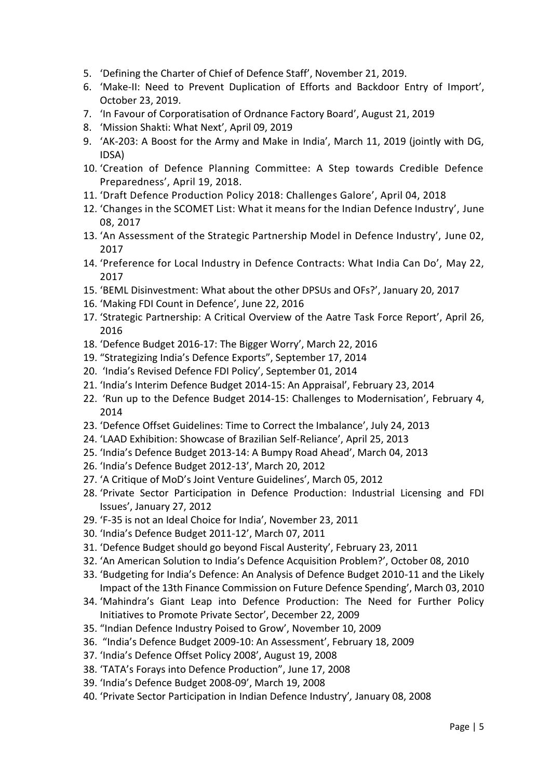- 5. 'Defining the Charter of Chief of Defence Staff', November 21, 2019.
- 6. 'Make-II: Need to Prevent Duplication of Efforts and Backdoor Entry of Import', October 23, 2019.
- 7. 'In Favour of Corporatisation of Ordnance Factory Board', August 21, 2019
- 8. 'Mission Shakti: What Next', April 09, 2019
- 9. 'AK-203: A Boost for the Army and Make in India', March 11, 2019 (jointly with DG, IDSA)
- 10. 'Creation of Defence Planning Committee: A Step towards Credible Defence Preparedness', April 19, 2018.
- 11. 'Draft Defence Production Policy 2018: Challenges Galore', April 04, 2018
- 12. 'Changes in the SCOMET List: What it means for the Indian Defence Industry', June 08, 2017
- 13. 'An Assessment of the Strategic Partnership Model in Defence Industry', June 02, 2017
- 14. 'Preference for Local Industry in Defence Contracts: What India Can Do', May 22, 2017
- 15. 'BEML Disinvestment: What about the other DPSUs and OFs?', January 20, 2017
- 16. 'Making FDI Count in Defence', June 22, 2016
- 17. 'Strategic Partnership: A Critical Overview of the Aatre Task Force Report', April 26, 2016
- 18. 'Defence Budget 2016-17: The Bigger Worry', March 22, 2016
- 19. "Strategizing India's Defence Exports", September 17, 2014
- 20. 'India's Revised Defence FDI Policy', September 01, 2014
- 21. 'India's Interim Defence Budget 2014-15: An Appraisal', February 23, 2014
- 22. 'Run up to the Defence Budget 2014-15: Challenges to Modernisation', February 4, 2014
- 23. 'Defence Offset Guidelines: Time to Correct the Imbalance', July 24, 2013
- 24. 'LAAD Exhibition: Showcase of Brazilian Self-Reliance', April 25, 2013
- 25. 'India's Defence Budget 2013-14: A Bumpy Road Ahead', March 04, 2013
- 26. 'India's Defence Budget 2012-13', March 20, 2012
- 27. 'A Critique of MoD's Joint Venture Guidelines', March 05, 2012
- 28. 'Private Sector Participation in Defence Production: Industrial Licensing and FDI Issues', January 27, 2012
- 29. 'F-35 is not an Ideal Choice for India', November 23, 2011
- 30. 'India's Defence Budget 2011-12', March 07, 2011
- 31. 'Defence Budget should go beyond Fiscal Austerity', February 23, 2011
- 32. 'An American Solution to India's Defence Acquisition Problem?', October 08, 2010
- 33. ['Budgeting for India's Defence: An Analysis of Defence Budget 2010](http://www.idsa.in/idsacomments/BudgetingforIndiasDefence2010-11_lkbehera_030310)-11 and the Likely [Impact of the 13th Finance Commission on Future Defence Spending](http://www.idsa.in/idsacomments/BudgetingforIndiasDefence2010-11_lkbehera_030310)', March 03, 2010
- 34. 'Mahindra's Giant Leap into Defence Production: The Need for Further Policy Initiatives to Promote Private Sector', December 22, 2009
- 35. "Indian Defence Industry Poised to Grow', November 10, 2009
- 36. "India's Defence Budget 2009-10: An Assessment', February 18, 2009
- 37. 'India's Defence Offset Policy 2008', August 19, 2008
- 38. 'TATA's Forays into Defence Production", June 17, 2008
- 39. 'India's Defence Budget 2008-09', March 19, 2008
- 40. 'Private Sector Participation in Indian Defence Industry'*,* January 08, 2008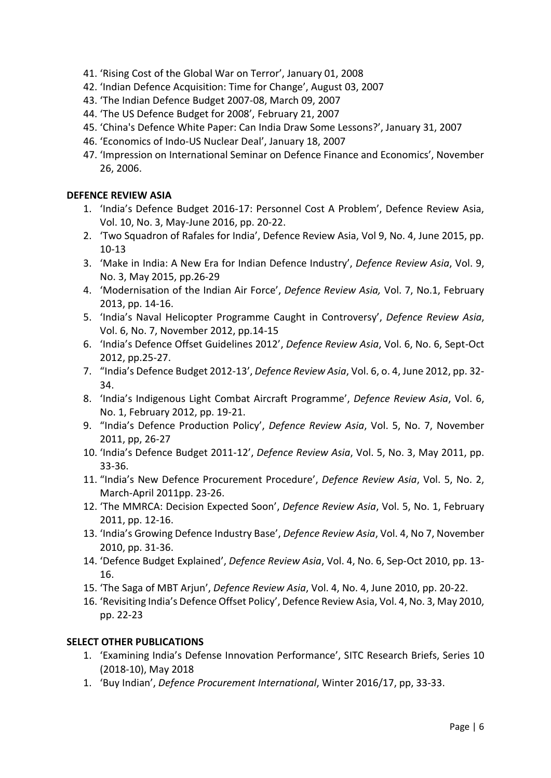- 41. 'Rising Cost of the Global War on Terror', January 01, 2008
- 42. 'Indian Defence Acquisition: Time for Change', August 03, 2007
- 43. 'The Indian Defence Budget 2007-08, March 09, 2007
- 44. 'The US Defence Budget for 2008', February 21, 2007
- 45. 'China's Defence White Paper: Can India Draw Some Lessons?', January 31, 2007
- 46. 'Economics of Indo-US Nuclear Deal', January 18, 2007
- 47. 'Impression on International Seminar on Defence Finance and Economics', November 26, 2006.

### **DEFENCE REVIEW ASIA**

- 1. 'India's Defence Budget 2016-17: Personnel Cost A Problem', Defence Review Asia, Vol. 10, No. 3, May-June 2016, pp. 20-22.
- 2. 'Two Squadron of Rafales for India', Defence Review Asia, Vol 9, No. 4, June 2015, pp. 10-13
- 3. 'Make in India: A New Era for Indian Defence Industry', *Defence Review Asia*, Vol. 9, No. 3, May 2015, pp.26-29
- 4. 'Modernisation of the Indian Air Force', *Defence Review Asia,* Vol. 7, No.1, February 2013, pp. 14-16.
- 5. 'India's Naval Helicopter Programme Caught in Controversy', *Defence Review Asia*, Vol. 6, No. 7, November 2012, pp.14-15
- 6. 'India's Defence Offset Guidelines 2012', *Defence Review Asia*, Vol. 6, No. 6, Sept-Oct 2012, pp.25-27.
- 7. "India's Defence Budget 2012-13', *Defence Review Asia*, Vol. 6, o. 4, June 2012, pp. 32- 34.
- 8. 'India's Indigenous Light Combat Aircraft Programme', *Defence Review Asia*, Vol. 6, No. 1, February 2012, pp. 19-21.
- 9. "India's Defence Production Policy', *Defence Review Asia*, Vol. 5, No. 7, November 2011, pp, 26-27
- 10. 'India's Defence Budget 2011-12', *Defence Review Asia*, Vol. 5, No. 3, May 2011, pp. 33-36.
- 11. "India's New Defence Procurement Procedure', *Defence Review Asia*, Vol. 5, No. 2, March-April 2011pp. 23-26.
- 12. 'The MMRCA: Decision Expected Soon', *Defence Review Asia*, Vol. 5, No. 1, February 2011, pp. 12-16.
- 13. 'India's Growing Defence Industry Base', *Defence Review Asia*, Vol. 4, No 7, November 2010, pp. 31-36.
- 14. 'Defence Budget Explained', *Defence Review Asia*, Vol. 4, No. 6, Sep-Oct 2010, pp. 13- 16.
- 15. 'The Saga of MBT Arjun', *Defence Review Asia*, Vol. 4, No. 4, June 2010, pp. 20-22.
- 16. 'Revisiting India's Defence Offset Policy', Defence Review Asia, Vol. 4, No. 3, May 2010, pp. 22-23

### **SELECT OTHER PUBLICATIONS**

- 1. 'Examining India's Defense Innovation Performance', SITC Research Briefs, Series 10 (2018-10), May 2018
- 1. 'Buy Indian', *Defence Procurement International*, Winter 2016/17, pp, 33-33.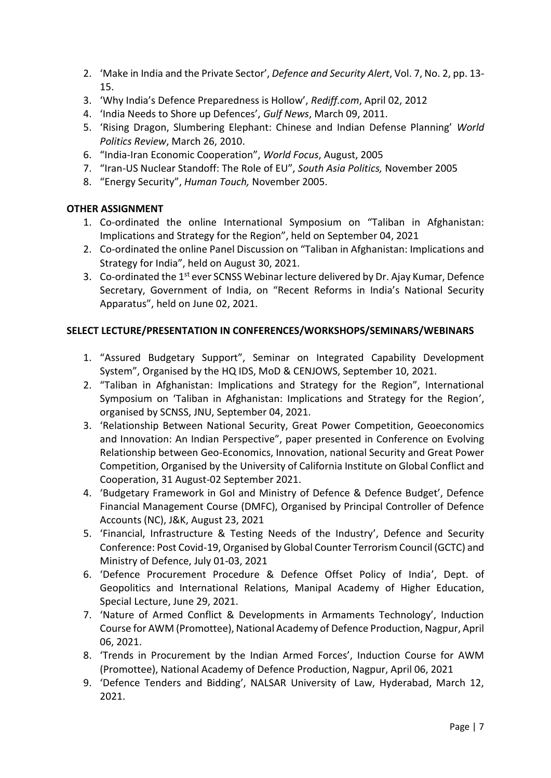- 2. 'Make in India and the Private Sector', *Defence and Security Alert*, Vol. 7, No. 2, pp. 13- 15.
- 3. 'Why India's Defence Preparedness is Hollow', *Rediff.com*, April 02, 2012
- 4. 'India Needs to Shore up Defences', *Gulf News*, March 09, 2011.
- 5. 'Rising Dragon, Slumbering Elephant: Chinese and Indian Defense Planning' *World Politics Review*, March 26, 2010.
- 6. "India-Iran Economic Cooperation", *World Focus*, August, 2005
- 7. "Iran-US Nuclear Standoff: The Role of EU", *South Asia Politics,* November 2005
- 8. "Energy Security", *Human Touch,* November 2005.

### **OTHER ASSIGNMENT**

- 1. Co-ordinated the online International Symposium on "Taliban in Afghanistan: Implications and Strategy for the Region", held on September 04, 2021
- 2. Co-ordinated the online Panel Discussion on "Taliban in Afghanistan: Implications and Strategy for India", held on August 30, 2021.
- 3. Co-ordinated the 1<sup>st</sup> ever SCNSS Webinar lecture delivered by Dr. Ajay Kumar, Defence Secretary, Government of India, on "Recent Reforms in India's National Security Apparatus", held on June 02, 2021.

### **SELECT LECTURE/PRESENTATION IN CONFERENCES/WORKSHOPS/SEMINARS/WEBINARS**

- 1. "Assured Budgetary Support", Seminar on Integrated Capability Development System", Organised by the HQ IDS, MoD & CENJOWS, September 10, 2021.
- 2. "Taliban in Afghanistan: Implications and Strategy for the Region", International Symposium on 'Taliban in Afghanistan: Implications and Strategy for the Region', organised by SCNSS, JNU, September 04, 2021.
- 3. 'Relationship Between National Security, Great Power Competition, Geoeconomics and Innovation: An Indian Perspective", paper presented in Conference on Evolving Relationship between Geo-Economics, Innovation, national Security and Great Power Competition, Organised by the University of California Institute on Global Conflict and Cooperation, 31 August-02 September 2021.
- 4. 'Budgetary Framework in GoI and Ministry of Defence & Defence Budget', Defence Financial Management Course (DMFC), Organised by Principal Controller of Defence Accounts (NC), J&K, August 23, 2021
- 5. 'Financial, Infrastructure & Testing Needs of the Industry', Defence and Security Conference: Post Covid-19, Organised by Global Counter Terrorism Council (GCTC) and Ministry of Defence, July 01-03, 2021
- 6. 'Defence Procurement Procedure & Defence Offset Policy of India', Dept. of Geopolitics and International Relations, Manipal Academy of Higher Education, Special Lecture, June 29, 2021.
- 7. 'Nature of Armed Conflict & Developments in Armaments Technology', Induction Course for AWM (Promottee), National Academy of Defence Production, Nagpur, April 06, 2021.
- 8. 'Trends in Procurement by the Indian Armed Forces', Induction Course for AWM (Promottee), National Academy of Defence Production, Nagpur, April 06, 2021
- 9. 'Defence Tenders and Bidding', NALSAR University of Law, Hyderabad, March 12, 2021.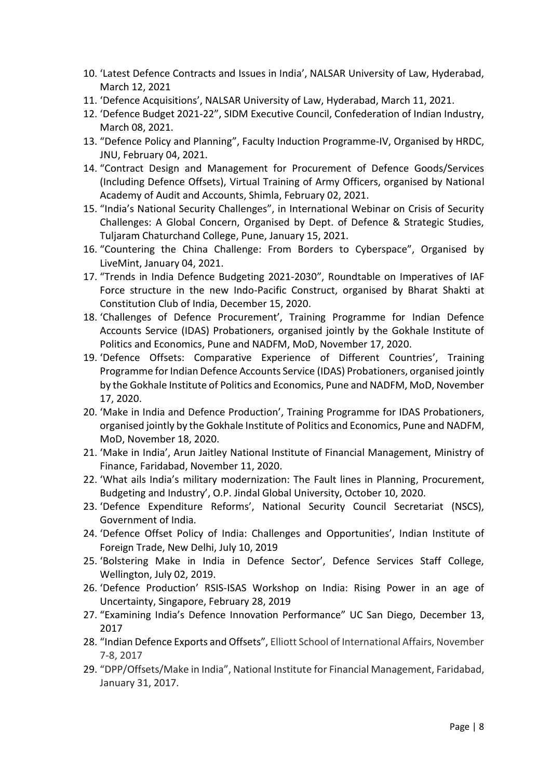- 10. 'Latest Defence Contracts and Issues in India', NALSAR University of Law, Hyderabad, March 12, 2021
- 11. 'Defence Acquisitions', NALSAR University of Law, Hyderabad, March 11, 2021.
- 12. 'Defence Budget 2021-22", SIDM Executive Council, Confederation of Indian Industry, March 08, 2021.
- 13. "Defence Policy and Planning", Faculty Induction Programme-IV, Organised by HRDC, JNU, February 04, 2021.
- 14. "Contract Design and Management for Procurement of Defence Goods/Services (Including Defence Offsets), Virtual Training of Army Officers, organised by National Academy of Audit and Accounts, Shimla, February 02, 2021.
- 15. "India's National Security Challenges", in International Webinar on Crisis of Security Challenges: A Global Concern, Organised by Dept. of Defence & Strategic Studies, Tuljaram Chaturchand College, Pune, January 15, 2021.
- 16. "Countering the China Challenge: From Borders to Cyberspace", Organised by LiveMint, January 04, 2021.
- 17. "Trends in India Defence Budgeting 2021-2030", Roundtable on Imperatives of IAF Force structure in the new Indo-Pacific Construct, organised by Bharat Shakti at Constitution Club of India, December 15, 2020.
- 18. 'Challenges of Defence Procurement', Training Programme for Indian Defence Accounts Service (IDAS) Probationers, organised jointly by the Gokhale Institute of Politics and Economics, Pune and NADFM, MoD, November 17, 2020.
- 19. 'Defence Offsets: Comparative Experience of Different Countries', Training Programme for Indian Defence Accounts Service (IDAS) Probationers, organised jointly by the Gokhale Institute of Politics and Economics, Pune and NADFM, MoD, November 17, 2020.
- 20. 'Make in India and Defence Production', Training Programme for IDAS Probationers, organised jointly by the Gokhale Institute of Politics and Economics, Pune and NADFM, MoD, November 18, 2020.
- 21. 'Make in India', Arun Jaitley National Institute of Financial Management, Ministry of Finance, Faridabad, November 11, 2020.
- 22. 'What ails India's military modernization: The Fault lines in Planning, Procurement, Budgeting and Industry', O.P. Jindal Global University, October 10, 2020.
- 23. 'Defence Expenditure Reforms', National Security Council Secretariat (NSCS), Government of India.
- 24. 'Defence Offset Policy of India: Challenges and Opportunities', Indian Institute of Foreign Trade, New Delhi, July 10, 2019
- 25. 'Bolstering Make in India in Defence Sector', Defence Services Staff College, Wellington, July 02, 2019.
- 26. 'Defence Production' RSIS-ISAS Workshop on India: Rising Power in an age of Uncertainty, Singapore, February 28, 2019
- 27. "Examining India's Defence Innovation Performance" UC San Diego, December 13, 2017
- 28. "Indian Defence Exports and Offsets", Elliott School of International Affairs, November 7-8, 2017
- 29. "DPP/Offsets/Make in India", National Institute for Financial Management, Faridabad, January 31, 2017.